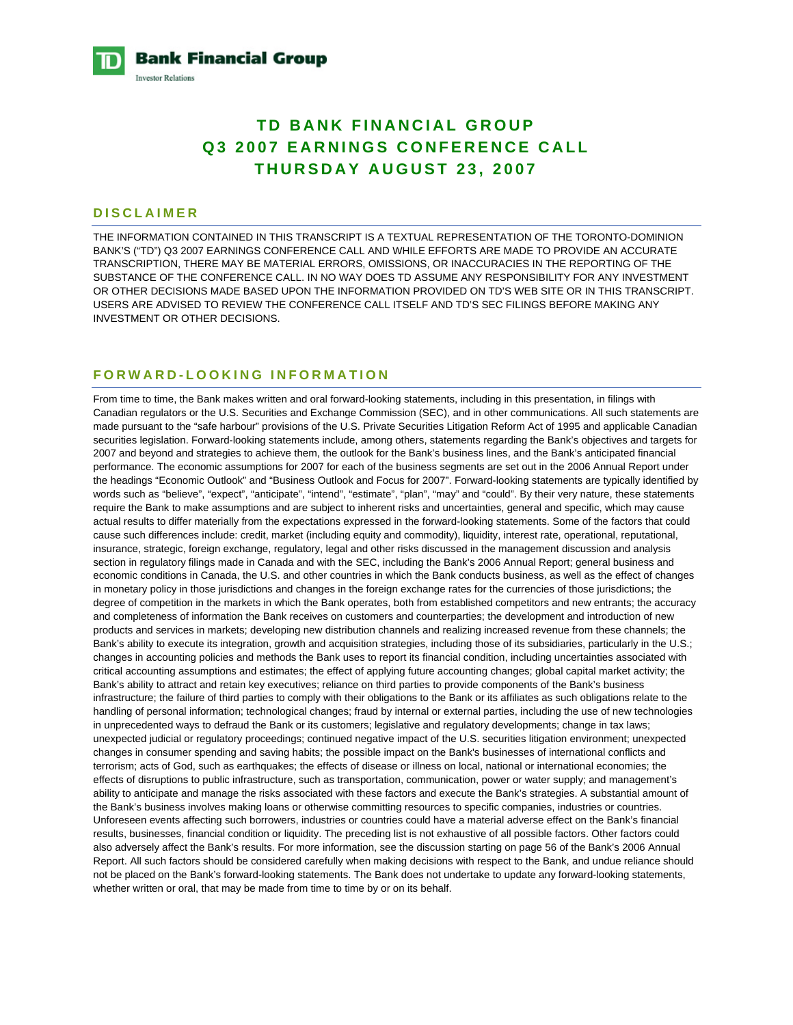

# **TD BANK FINANCIAL GROUP Q3 2007 EARNINGS CONFERENCE CALL THURSDAY AUGUST 23, 2007**

## **DISCLAIMER**

THE INFORMATION CONTAINED IN THIS TRANSCRIPT IS A TEXTUAL REPRESENTATION OF THE TORONTO-DOMINION BANK'S ("TD") Q3 2007 EARNINGS CONFERENCE CALL AND WHILE EFFORTS ARE MADE TO PROVIDE AN ACCURATE TRANSCRIPTION, THERE MAY BE MATERIAL ERRORS, OMISSIONS, OR INACCURACIES IN THE REPORTING OF THE SUBSTANCE OF THE CONFERENCE CALL. IN NO WAY DOES TD ASSUME ANY RESPONSIBILITY FOR ANY INVESTMENT OR OTHER DECISIONS MADE BASED UPON THE INFORMATION PROVIDED ON TD'S WEB SITE OR IN THIS TRANSCRIPT. USERS ARE ADVISED TO REVIEW THE CONFERENCE CALL ITSELF AND TD'S SEC FILINGS BEFORE MAKING ANY INVESTMENT OR OTHER DECISIONS.

# **FORWARD-LOOKING INFORMATION**

From time to time, the Bank makes written and oral forward-looking statements, including in this presentation, in filings with Canadian regulators or the U.S. Securities and Exchange Commission (SEC), and in other communications. All such statements are made pursuant to the "safe harbour" provisions of the U.S. Private Securities Litigation Reform Act of 1995 and applicable Canadian securities legislation. Forward-looking statements include, among others, statements regarding the Bank's objectives and targets for 2007 and beyond and strategies to achieve them, the outlook for the Bank's business lines, and the Bank's anticipated financial performance. The economic assumptions for 2007 for each of the business segments are set out in the 2006 Annual Report under the headings "Economic Outlook" and "Business Outlook and Focus for 2007". Forward-looking statements are typically identified by words such as "believe", "expect", "anticipate", "intend", "estimate", "plan", "may" and "could". By their very nature, these statements require the Bank to make assumptions and are subject to inherent risks and uncertainties, general and specific, which may cause actual results to differ materially from the expectations expressed in the forward-looking statements. Some of the factors that could cause such differences include: credit, market (including equity and commodity), liquidity, interest rate, operational, reputational, insurance, strategic, foreign exchange, regulatory, legal and other risks discussed in the management discussion and analysis section in regulatory filings made in Canada and with the SEC, including the Bank's 2006 Annual Report; general business and economic conditions in Canada, the U.S. and other countries in which the Bank conducts business, as well as the effect of changes in monetary policy in those jurisdictions and changes in the foreign exchange rates for the currencies of those jurisdictions; the degree of competition in the markets in which the Bank operates, both from established competitors and new entrants; the accuracy and completeness of information the Bank receives on customers and counterparties; the development and introduction of new products and services in markets; developing new distribution channels and realizing increased revenue from these channels; the Bank's ability to execute its integration, growth and acquisition strategies, including those of its subsidiaries, particularly in the U.S.; changes in accounting policies and methods the Bank uses to report its financial condition, including uncertainties associated with critical accounting assumptions and estimates; the effect of applying future accounting changes; global capital market activity; the Bank's ability to attract and retain key executives; reliance on third parties to provide components of the Bank's business infrastructure; the failure of third parties to comply with their obligations to the Bank or its affiliates as such obligations relate to the handling of personal information; technological changes; fraud by internal or external parties, including the use of new technologies in unprecedented ways to defraud the Bank or its customers; legislative and regulatory developments; change in tax laws; unexpected judicial or regulatory proceedings; continued negative impact of the U.S. securities litigation environment; unexpected changes in consumer spending and saving habits; the possible impact on the Bank's businesses of international conflicts and terrorism; acts of God, such as earthquakes; the effects of disease or illness on local, national or international economies; the effects of disruptions to public infrastructure, such as transportation, communication, power or water supply; and management's ability to anticipate and manage the risks associated with these factors and execute the Bank's strategies. A substantial amount of the Bank's business involves making loans or otherwise committing resources to specific companies, industries or countries. Unforeseen events affecting such borrowers, industries or countries could have a material adverse effect on the Bank's financial results, businesses, financial condition or liquidity. The preceding list is not exhaustive of all possible factors. Other factors could also adversely affect the Bank's results. For more information, see the discussion starting on page 56 of the Bank's 2006 Annual Report. All such factors should be considered carefully when making decisions with respect to the Bank, and undue reliance should not be placed on the Bank's forward-looking statements. The Bank does not undertake to update any forward-looking statements, whether written or oral, that may be made from time to time by or on its behalf.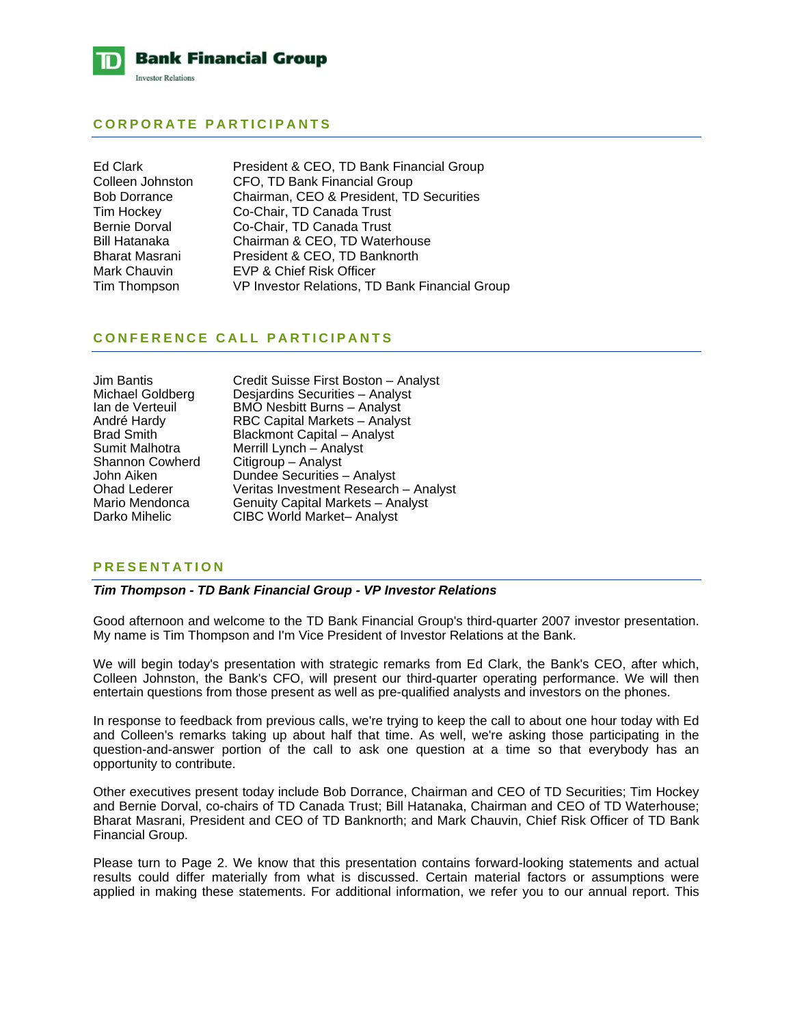

# **CORPORATE PARTICIPANTS**

| Ed Clark             | President & CEO, TD Bank Financial Group       |
|----------------------|------------------------------------------------|
| Colleen Johnston     | CFO, TD Bank Financial Group                   |
| <b>Bob Dorrance</b>  | Chairman, CEO & President, TD Securities       |
| Tim Hockey           | Co-Chair, TD Canada Trust                      |
| <b>Bernie Dorval</b> | Co-Chair, TD Canada Trust                      |
| Bill Hatanaka        | Chairman & CEO, TD Waterhouse                  |
| Bharat Masrani       | President & CEO, TD Banknorth                  |
| Mark Chauvin         | <b>EVP &amp; Chief Risk Officer</b>            |
| Tim Thompson         | VP Investor Relations, TD Bank Financial Group |

## **CONFERENCE CALL PARTICIPANTS**

| Jim Bantis             |
|------------------------|
| Michael Goldberg       |
| lan de Verteuil        |
| André Hardy            |
| <b>Brad Smith</b>      |
| Sumit Malhotra         |
| <b>Shannon Cowherd</b> |
| John Aiken             |
| <b>Ohad Lederer</b>    |
| Mario Mendonca         |
| Darko Mihelic          |

Credit Suisse First Boston – Analyst Desiardins Securities – Analyst BMO Nesbitt Burns – Analyst RBC Capital Markets – Analyst Blackmont Capital – Analyst Merrill Lynch – Analyst Citigroup – Analyst Dundee Securities – Analyst Veritas Investment Research – Analyst Genuity Capital Markets – Analyst CIBC World Market– Analyst

## **PRESENTATION**

#### *Tim Thompson - TD Bank Financial Group - VP Investor Relations*

Good afternoon and welcome to the TD Bank Financial Group's third-quarter 2007 investor presentation. My name is Tim Thompson and I'm Vice President of Investor Relations at the Bank.

We will begin today's presentation with strategic remarks from Ed Clark, the Bank's CEO, after which, Colleen Johnston, the Bank's CFO, will present our third-quarter operating performance. We will then entertain questions from those present as well as pre-qualified analysts and investors on the phones.

In response to feedback from previous calls, we're trying to keep the call to about one hour today with Ed and Colleen's remarks taking up about half that time. As well, we're asking those participating in the question-and-answer portion of the call to ask one question at a time so that everybody has an opportunity to contribute.

Other executives present today include Bob Dorrance, Chairman and CEO of TD Securities; Tim Hockey and Bernie Dorval, co-chairs of TD Canada Trust; Bill Hatanaka, Chairman and CEO of TD Waterhouse; Bharat Masrani, President and CEO of TD Banknorth; and Mark Chauvin, Chief Risk Officer of TD Bank Financial Group.

Please turn to Page 2. We know that this presentation contains forward-looking statements and actual results could differ materially from what is discussed. Certain material factors or assumptions were applied in making these statements. For additional information, we refer you to our annual report. This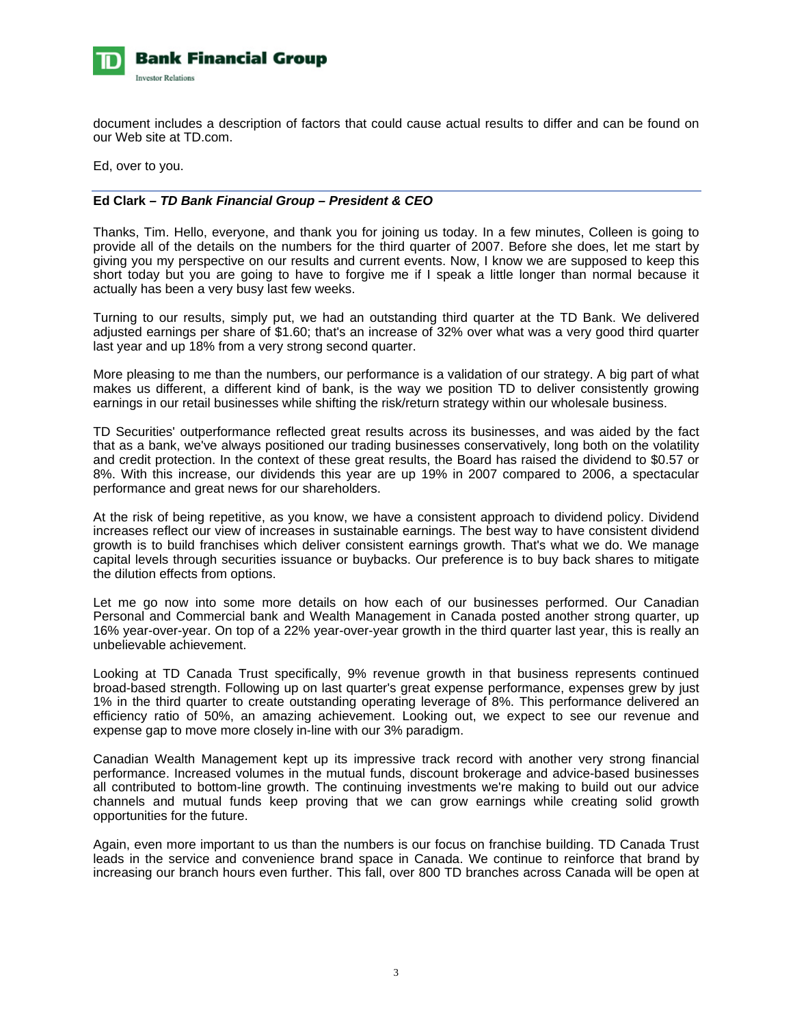

document includes a description of factors that could cause actual results to differ and can be found on our Web site at TD.com.

Ed, over to you.

## **Ed Clark** *– TD Bank Financial Group – President & CEO*

Thanks, Tim. Hello, everyone, and thank you for joining us today. In a few minutes, Colleen is going to provide all of the details on the numbers for the third quarter of 2007. Before she does, let me start by giving you my perspective on our results and current events. Now, I know we are supposed to keep this short today but you are going to have to forgive me if I speak a little longer than normal because it actually has been a very busy last few weeks.

Turning to our results, simply put, we had an outstanding third quarter at the TD Bank. We delivered adjusted earnings per share of \$1.60; that's an increase of 32% over what was a very good third quarter last year and up 18% from a very strong second quarter.

More pleasing to me than the numbers, our performance is a validation of our strategy. A big part of what makes us different, a different kind of bank, is the way we position TD to deliver consistently growing earnings in our retail businesses while shifting the risk/return strategy within our wholesale business.

TD Securities' outperformance reflected great results across its businesses, and was aided by the fact that as a bank, we've always positioned our trading businesses conservatively, long both on the volatility and credit protection. In the context of these great results, the Board has raised the dividend to \$0.57 or 8%. With this increase, our dividends this year are up 19% in 2007 compared to 2006, a spectacular performance and great news for our shareholders.

At the risk of being repetitive, as you know, we have a consistent approach to dividend policy. Dividend increases reflect our view of increases in sustainable earnings. The best way to have consistent dividend growth is to build franchises which deliver consistent earnings growth. That's what we do. We manage capital levels through securities issuance or buybacks. Our preference is to buy back shares to mitigate the dilution effects from options.

Let me go now into some more details on how each of our businesses performed. Our Canadian Personal and Commercial bank and Wealth Management in Canada posted another strong quarter, up 16% year-over-year. On top of a 22% year-over-year growth in the third quarter last year, this is really an unbelievable achievement.

Looking at TD Canada Trust specifically, 9% revenue growth in that business represents continued broad-based strength. Following up on last quarter's great expense performance, expenses grew by just 1% in the third quarter to create outstanding operating leverage of 8%. This performance delivered an efficiency ratio of 50%, an amazing achievement. Looking out, we expect to see our revenue and expense gap to move more closely in-line with our 3% paradigm.

Canadian Wealth Management kept up its impressive track record with another very strong financial performance. Increased volumes in the mutual funds, discount brokerage and advice-based businesses all contributed to bottom-line growth. The continuing investments we're making to build out our advice channels and mutual funds keep proving that we can grow earnings while creating solid growth opportunities for the future.

Again, even more important to us than the numbers is our focus on franchise building. TD Canada Trust leads in the service and convenience brand space in Canada. We continue to reinforce that brand by increasing our branch hours even further. This fall, over 800 TD branches across Canada will be open at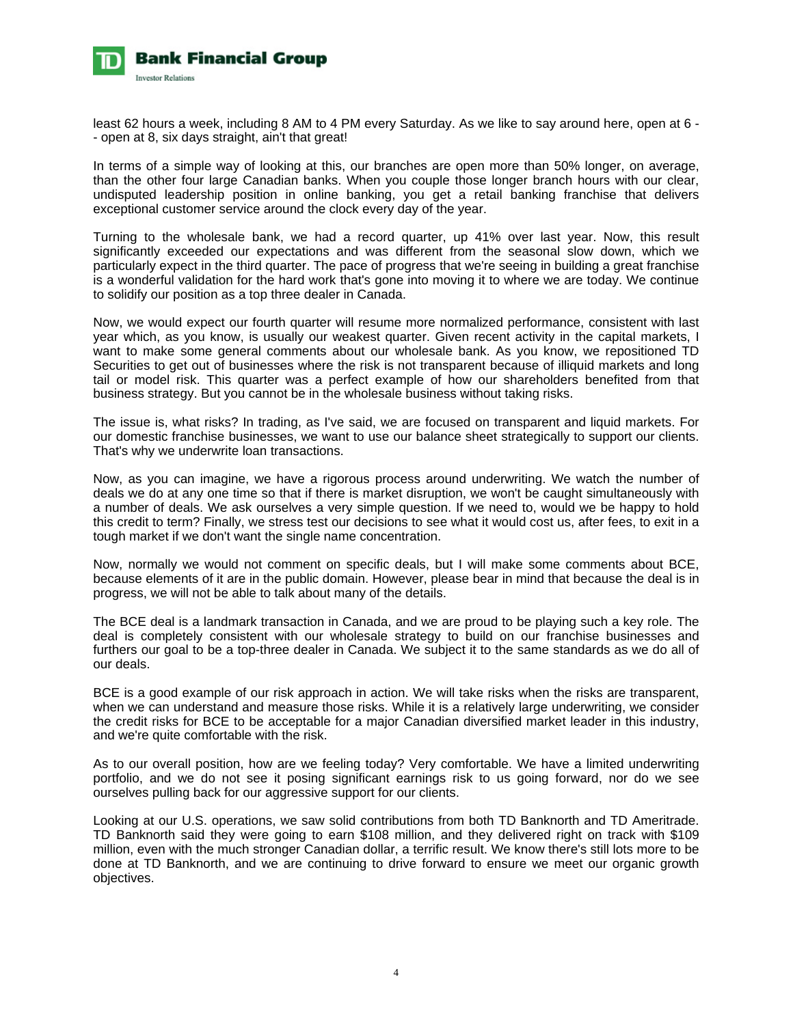

least 62 hours a week, including 8 AM to 4 PM every Saturday. As we like to say around here, open at 6 - - open at 8, six days straight, ain't that great!

In terms of a simple way of looking at this, our branches are open more than 50% longer, on average, than the other four large Canadian banks. When you couple those longer branch hours with our clear, undisputed leadership position in online banking, you get a retail banking franchise that delivers exceptional customer service around the clock every day of the year.

Turning to the wholesale bank, we had a record quarter, up 41% over last year. Now, this result significantly exceeded our expectations and was different from the seasonal slow down, which we particularly expect in the third quarter. The pace of progress that we're seeing in building a great franchise is a wonderful validation for the hard work that's gone into moving it to where we are today. We continue to solidify our position as a top three dealer in Canada.

Now, we would expect our fourth quarter will resume more normalized performance, consistent with last year which, as you know, is usually our weakest quarter. Given recent activity in the capital markets, I want to make some general comments about our wholesale bank. As you know, we repositioned TD Securities to get out of businesses where the risk is not transparent because of illiquid markets and long tail or model risk. This quarter was a perfect example of how our shareholders benefited from that business strategy. But you cannot be in the wholesale business without taking risks.

The issue is, what risks? In trading, as I've said, we are focused on transparent and liquid markets. For our domestic franchise businesses, we want to use our balance sheet strategically to support our clients. That's why we underwrite loan transactions.

Now, as you can imagine, we have a rigorous process around underwriting. We watch the number of deals we do at any one time so that if there is market disruption, we won't be caught simultaneously with a number of deals. We ask ourselves a very simple question. If we need to, would we be happy to hold this credit to term? Finally, we stress test our decisions to see what it would cost us, after fees, to exit in a tough market if we don't want the single name concentration.

Now, normally we would not comment on specific deals, but I will make some comments about BCE, because elements of it are in the public domain. However, please bear in mind that because the deal is in progress, we will not be able to talk about many of the details.

The BCE deal is a landmark transaction in Canada, and we are proud to be playing such a key role. The deal is completely consistent with our wholesale strategy to build on our franchise businesses and furthers our goal to be a top-three dealer in Canada. We subject it to the same standards as we do all of our deals.

BCE is a good example of our risk approach in action. We will take risks when the risks are transparent, when we can understand and measure those risks. While it is a relatively large underwriting, we consider the credit risks for BCE to be acceptable for a major Canadian diversified market leader in this industry, and we're quite comfortable with the risk.

As to our overall position, how are we feeling today? Very comfortable. We have a limited underwriting portfolio, and we do not see it posing significant earnings risk to us going forward, nor do we see ourselves pulling back for our aggressive support for our clients.

Looking at our U.S. operations, we saw solid contributions from both TD Banknorth and TD Ameritrade. TD Banknorth said they were going to earn \$108 million, and they delivered right on track with \$109 million, even with the much stronger Canadian dollar, a terrific result. We know there's still lots more to be done at TD Banknorth, and we are continuing to drive forward to ensure we meet our organic growth objectives.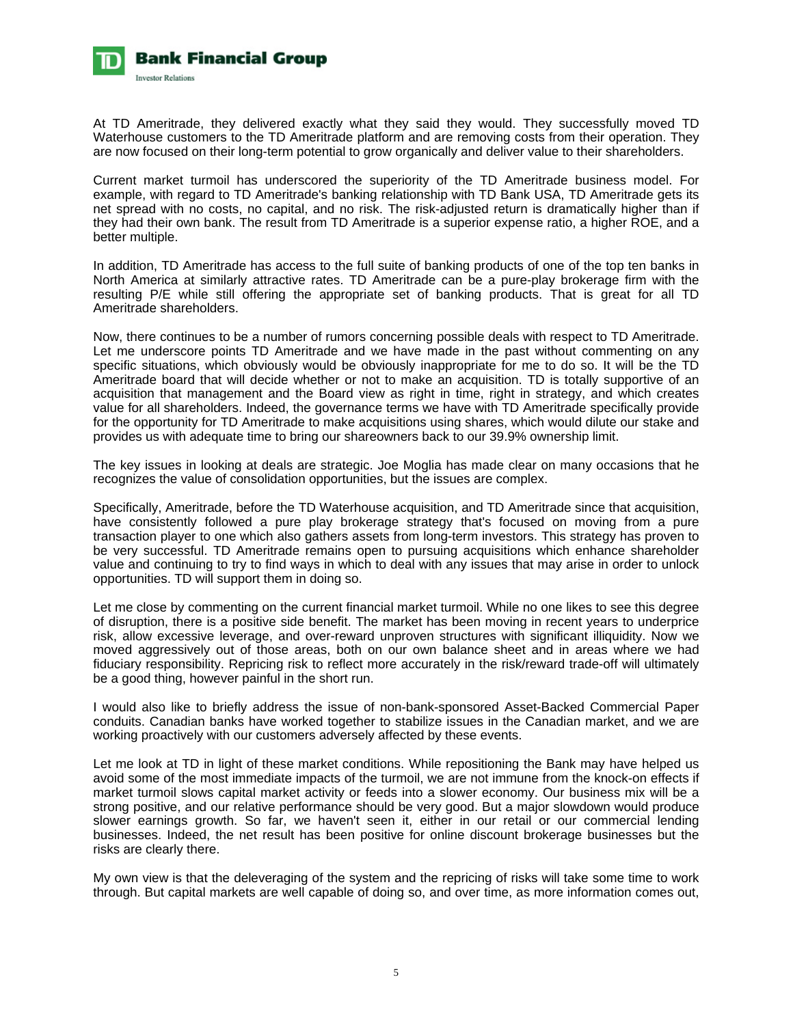

At TD Ameritrade, they delivered exactly what they said they would. They successfully moved TD Waterhouse customers to the TD Ameritrade platform and are removing costs from their operation. They are now focused on their long-term potential to grow organically and deliver value to their shareholders.

Current market turmoil has underscored the superiority of the TD Ameritrade business model. For example, with regard to TD Ameritrade's banking relationship with TD Bank USA, TD Ameritrade gets its net spread with no costs, no capital, and no risk. The risk-adjusted return is dramatically higher than if they had their own bank. The result from TD Ameritrade is a superior expense ratio, a higher ROE, and a better multiple.

In addition, TD Ameritrade has access to the full suite of banking products of one of the top ten banks in North America at similarly attractive rates. TD Ameritrade can be a pure-play brokerage firm with the resulting P/E while still offering the appropriate set of banking products. That is great for all TD Ameritrade shareholders.

Now, there continues to be a number of rumors concerning possible deals with respect to TD Ameritrade. Let me underscore points TD Ameritrade and we have made in the past without commenting on any specific situations, which obviously would be obviously inappropriate for me to do so. It will be the TD Ameritrade board that will decide whether or not to make an acquisition. TD is totally supportive of an acquisition that management and the Board view as right in time, right in strategy, and which creates value for all shareholders. Indeed, the governance terms we have with TD Ameritrade specifically provide for the opportunity for TD Ameritrade to make acquisitions using shares, which would dilute our stake and provides us with adequate time to bring our shareowners back to our 39.9% ownership limit.

The key issues in looking at deals are strategic. Joe Moglia has made clear on many occasions that he recognizes the value of consolidation opportunities, but the issues are complex.

Specifically, Ameritrade, before the TD Waterhouse acquisition, and TD Ameritrade since that acquisition, have consistently followed a pure play brokerage strategy that's focused on moving from a pure transaction player to one which also gathers assets from long-term investors. This strategy has proven to be very successful. TD Ameritrade remains open to pursuing acquisitions which enhance shareholder value and continuing to try to find ways in which to deal with any issues that may arise in order to unlock opportunities. TD will support them in doing so.

Let me close by commenting on the current financial market turmoil. While no one likes to see this degree of disruption, there is a positive side benefit. The market has been moving in recent years to underprice risk, allow excessive leverage, and over-reward unproven structures with significant illiquidity. Now we moved aggressively out of those areas, both on our own balance sheet and in areas where we had fiduciary responsibility. Repricing risk to reflect more accurately in the risk/reward trade-off will ultimately be a good thing, however painful in the short run.

I would also like to briefly address the issue of non-bank-sponsored Asset-Backed Commercial Paper conduits. Canadian banks have worked together to stabilize issues in the Canadian market, and we are working proactively with our customers adversely affected by these events.

Let me look at TD in light of these market conditions. While repositioning the Bank may have helped us avoid some of the most immediate impacts of the turmoil, we are not immune from the knock-on effects if market turmoil slows capital market activity or feeds into a slower economy. Our business mix will be a strong positive, and our relative performance should be very good. But a major slowdown would produce slower earnings growth. So far, we haven't seen it, either in our retail or our commercial lending businesses. Indeed, the net result has been positive for online discount brokerage businesses but the risks are clearly there.

My own view is that the deleveraging of the system and the repricing of risks will take some time to work through. But capital markets are well capable of doing so, and over time, as more information comes out,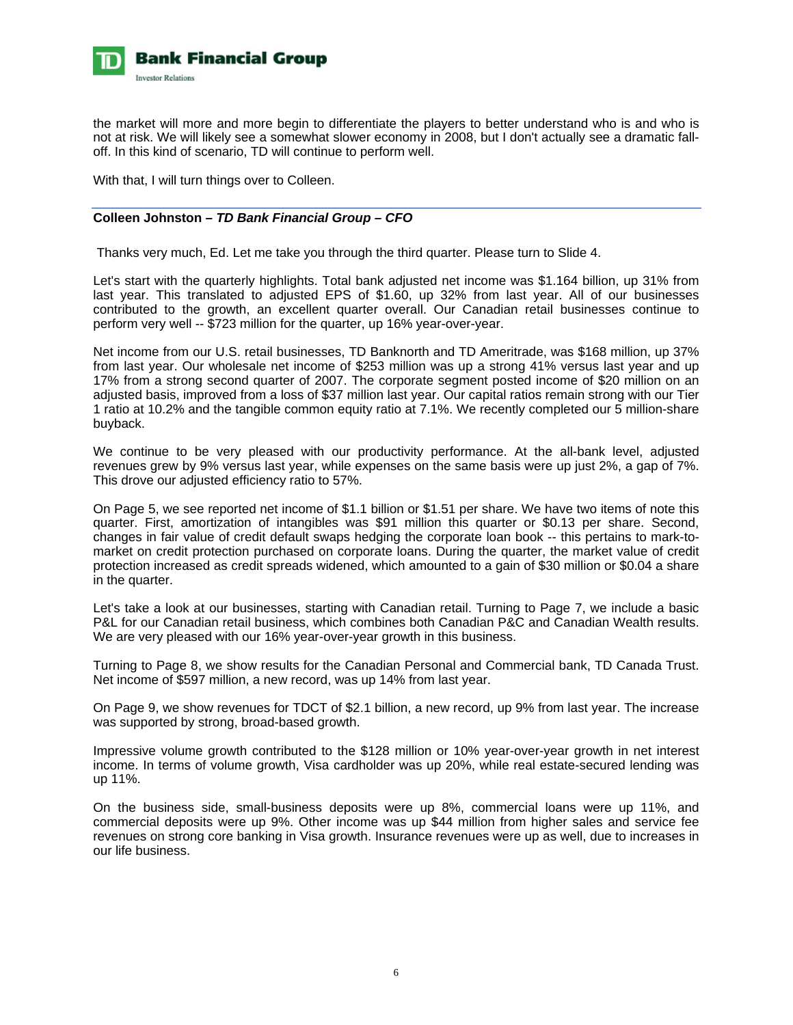

the market will more and more begin to differentiate the players to better understand who is and who is not at risk. We will likely see a somewhat slower economy in 2008, but I don't actually see a dramatic falloff. In this kind of scenario, TD will continue to perform well.

With that, I will turn things over to Colleen.

# **Colleen Johnston** *– TD Bank Financial Group – CFO*

Thanks very much, Ed. Let me take you through the third quarter. Please turn to Slide 4.

Let's start with the quarterly highlights. Total bank adjusted net income was \$1.164 billion, up 31% from last year. This translated to adjusted EPS of \$1.60, up 32% from last year. All of our businesses contributed to the growth, an excellent quarter overall. Our Canadian retail businesses continue to perform very well -- \$723 million for the quarter, up 16% year-over-year.

Net income from our U.S. retail businesses, TD Banknorth and TD Ameritrade, was \$168 million, up 37% from last year. Our wholesale net income of \$253 million was up a strong 41% versus last year and up 17% from a strong second quarter of 2007. The corporate segment posted income of \$20 million on an adjusted basis, improved from a loss of \$37 million last year. Our capital ratios remain strong with our Tier 1 ratio at 10.2% and the tangible common equity ratio at 7.1%. We recently completed our 5 million-share buyback.

We continue to be very pleased with our productivity performance. At the all-bank level, adjusted revenues grew by 9% versus last year, while expenses on the same basis were up just 2%, a gap of 7%. This drove our adjusted efficiency ratio to 57%.

On Page 5, we see reported net income of \$1.1 billion or \$1.51 per share. We have two items of note this quarter. First, amortization of intangibles was \$91 million this quarter or \$0.13 per share. Second, changes in fair value of credit default swaps hedging the corporate loan book -- this pertains to mark-tomarket on credit protection purchased on corporate loans. During the quarter, the market value of credit protection increased as credit spreads widened, which amounted to a gain of \$30 million or \$0.04 a share in the quarter.

Let's take a look at our businesses, starting with Canadian retail. Turning to Page 7, we include a basic P&L for our Canadian retail business, which combines both Canadian P&C and Canadian Wealth results. We are very pleased with our 16% year-over-year growth in this business.

Turning to Page 8, we show results for the Canadian Personal and Commercial bank, TD Canada Trust. Net income of \$597 million, a new record, was up 14% from last year.

On Page 9, we show revenues for TDCT of \$2.1 billion, a new record, up 9% from last year. The increase was supported by strong, broad-based growth.

Impressive volume growth contributed to the \$128 million or 10% year-over-year growth in net interest income. In terms of volume growth, Visa cardholder was up 20%, while real estate-secured lending was up 11%.

On the business side, small-business deposits were up 8%, commercial loans were up 11%, and commercial deposits were up 9%. Other income was up \$44 million from higher sales and service fee revenues on strong core banking in Visa growth. Insurance revenues were up as well, due to increases in our life business.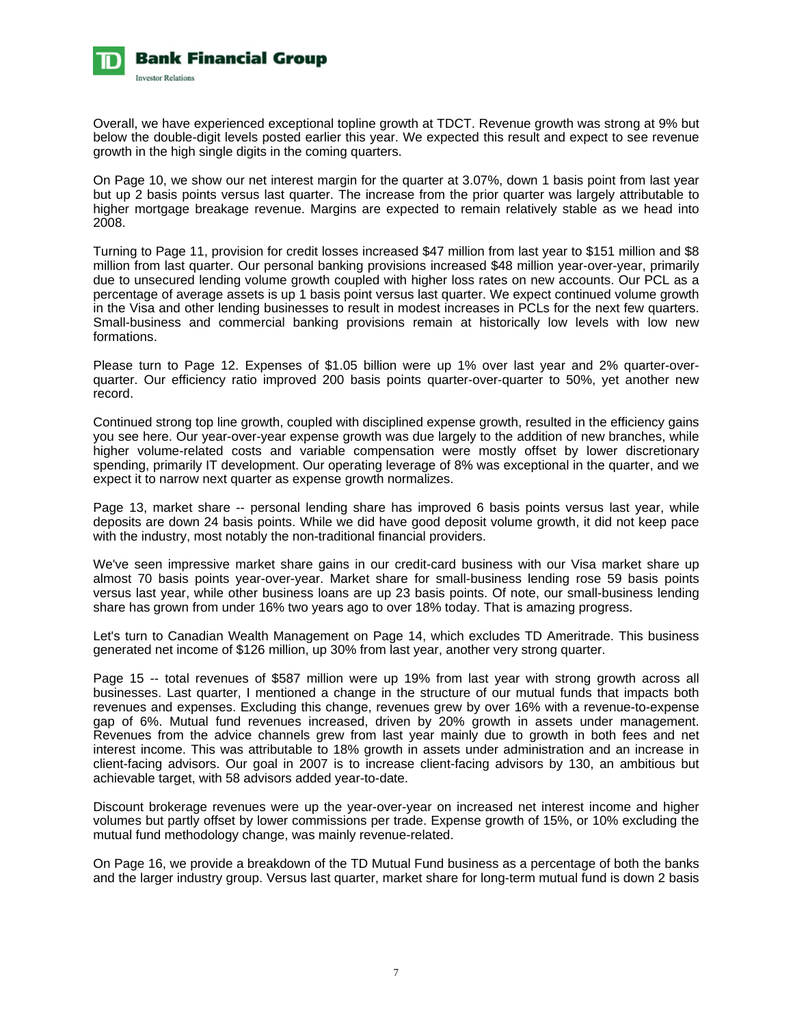

Overall, we have experienced exceptional topline growth at TDCT. Revenue growth was strong at 9% but below the double-digit levels posted earlier this year. We expected this result and expect to see revenue growth in the high single digits in the coming quarters.

On Page 10, we show our net interest margin for the quarter at 3.07%, down 1 basis point from last year but up 2 basis points versus last quarter. The increase from the prior quarter was largely attributable to higher mortgage breakage revenue. Margins are expected to remain relatively stable as we head into 2008.

Turning to Page 11, provision for credit losses increased \$47 million from last year to \$151 million and \$8 million from last quarter. Our personal banking provisions increased \$48 million year-over-year, primarily due to unsecured lending volume growth coupled with higher loss rates on new accounts. Our PCL as a percentage of average assets is up 1 basis point versus last quarter. We expect continued volume growth in the Visa and other lending businesses to result in modest increases in PCLs for the next few quarters. Small-business and commercial banking provisions remain at historically low levels with low new formations.

Please turn to Page 12. Expenses of \$1.05 billion were up 1% over last year and 2% quarter-overquarter. Our efficiency ratio improved 200 basis points quarter-over-quarter to 50%, yet another new record.

Continued strong top line growth, coupled with disciplined expense growth, resulted in the efficiency gains you see here. Our year-over-year expense growth was due largely to the addition of new branches, while higher volume-related costs and variable compensation were mostly offset by lower discretionary spending, primarily IT development. Our operating leverage of 8% was exceptional in the quarter, and we expect it to narrow next quarter as expense growth normalizes.

Page 13, market share -- personal lending share has improved 6 basis points versus last year, while deposits are down 24 basis points. While we did have good deposit volume growth, it did not keep pace with the industry, most notably the non-traditional financial providers.

We've seen impressive market share gains in our credit-card business with our Visa market share up almost 70 basis points year-over-year. Market share for small-business lending rose 59 basis points versus last year, while other business loans are up 23 basis points. Of note, our small-business lending share has grown from under 16% two years ago to over 18% today. That is amazing progress.

Let's turn to Canadian Wealth Management on Page 14, which excludes TD Ameritrade. This business generated net income of \$126 million, up 30% from last year, another very strong quarter.

Page 15 -- total revenues of \$587 million were up 19% from last year with strong growth across all businesses. Last quarter, I mentioned a change in the structure of our mutual funds that impacts both revenues and expenses. Excluding this change, revenues grew by over 16% with a revenue-to-expense gap of 6%. Mutual fund revenues increased, driven by 20% growth in assets under management. Revenues from the advice channels grew from last year mainly due to growth in both fees and net interest income. This was attributable to 18% growth in assets under administration and an increase in client-facing advisors. Our goal in 2007 is to increase client-facing advisors by 130, an ambitious but achievable target, with 58 advisors added year-to-date.

Discount brokerage revenues were up the year-over-year on increased net interest income and higher volumes but partly offset by lower commissions per trade. Expense growth of 15%, or 10% excluding the mutual fund methodology change, was mainly revenue-related.

On Page 16, we provide a breakdown of the TD Mutual Fund business as a percentage of both the banks and the larger industry group. Versus last quarter, market share for long-term mutual fund is down 2 basis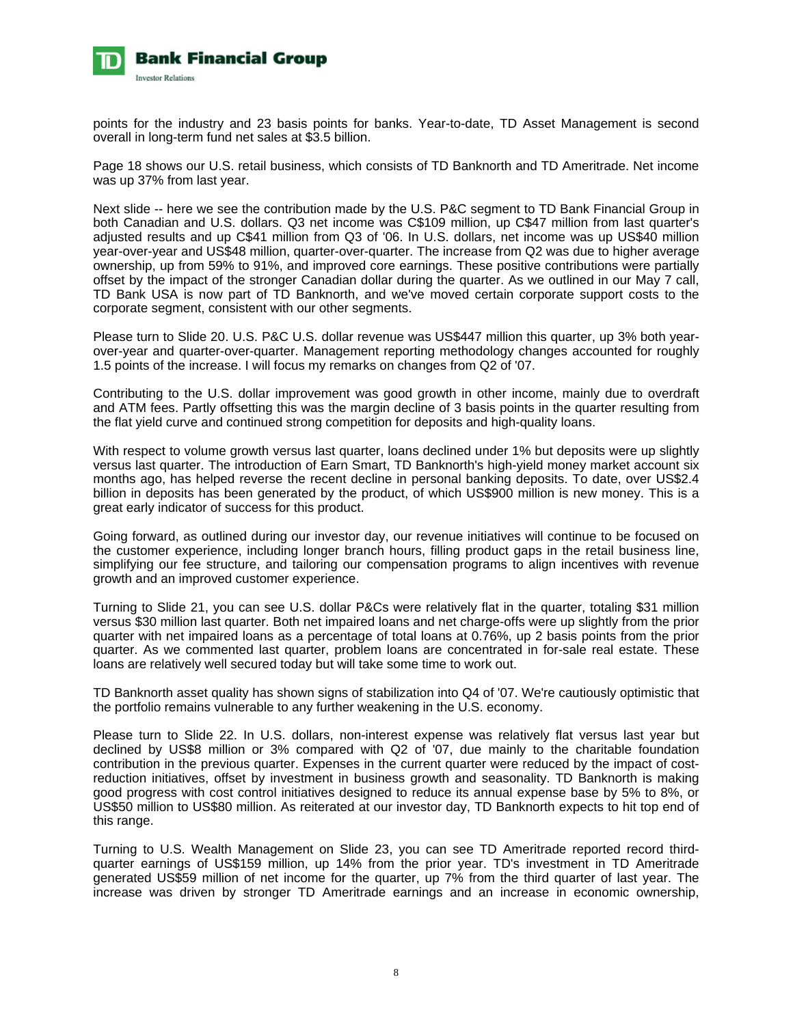

points for the industry and 23 basis points for banks. Year-to-date, TD Asset Management is second overall in long-term fund net sales at \$3.5 billion.

Page 18 shows our U.S. retail business, which consists of TD Banknorth and TD Ameritrade. Net income was up 37% from last year.

Next slide -- here we see the contribution made by the U.S. P&C segment to TD Bank Financial Group in both Canadian and U.S. dollars. Q3 net income was C\$109 million, up C\$47 million from last quarter's adjusted results and up C\$41 million from Q3 of '06. In U.S. dollars, net income was up US\$40 million year-over-year and US\$48 million, quarter-over-quarter. The increase from Q2 was due to higher average ownership, up from 59% to 91%, and improved core earnings. These positive contributions were partially offset by the impact of the stronger Canadian dollar during the quarter. As we outlined in our May 7 call, TD Bank USA is now part of TD Banknorth, and we've moved certain corporate support costs to the corporate segment, consistent with our other segments.

Please turn to Slide 20. U.S. P&C U.S. dollar revenue was US\$447 million this quarter, up 3% both yearover-year and quarter-over-quarter. Management reporting methodology changes accounted for roughly 1.5 points of the increase. I will focus my remarks on changes from Q2 of '07.

Contributing to the U.S. dollar improvement was good growth in other income, mainly due to overdraft and ATM fees. Partly offsetting this was the margin decline of 3 basis points in the quarter resulting from the flat yield curve and continued strong competition for deposits and high-quality loans.

With respect to volume growth versus last quarter, loans declined under 1% but deposits were up slightly versus last quarter. The introduction of Earn Smart, TD Banknorth's high-yield money market account six months ago, has helped reverse the recent decline in personal banking deposits. To date, over US\$2.4 billion in deposits has been generated by the product, of which US\$900 million is new money. This is a great early indicator of success for this product.

Going forward, as outlined during our investor day, our revenue initiatives will continue to be focused on the customer experience, including longer branch hours, filling product gaps in the retail business line, simplifying our fee structure, and tailoring our compensation programs to align incentives with revenue growth and an improved customer experience.

Turning to Slide 21, you can see U.S. dollar P&Cs were relatively flat in the quarter, totaling \$31 million versus \$30 million last quarter. Both net impaired loans and net charge-offs were up slightly from the prior quarter with net impaired loans as a percentage of total loans at 0.76%, up 2 basis points from the prior quarter. As we commented last quarter, problem loans are concentrated in for-sale real estate. These loans are relatively well secured today but will take some time to work out.

TD Banknorth asset quality has shown signs of stabilization into Q4 of '07. We're cautiously optimistic that the portfolio remains vulnerable to any further weakening in the U.S. economy.

Please turn to Slide 22. In U.S. dollars, non-interest expense was relatively flat versus last year but declined by US\$8 million or 3% compared with Q2 of '07, due mainly to the charitable foundation contribution in the previous quarter. Expenses in the current quarter were reduced by the impact of costreduction initiatives, offset by investment in business growth and seasonality. TD Banknorth is making good progress with cost control initiatives designed to reduce its annual expense base by 5% to 8%, or US\$50 million to US\$80 million. As reiterated at our investor day, TD Banknorth expects to hit top end of this range.

Turning to U.S. Wealth Management on Slide 23, you can see TD Ameritrade reported record thirdquarter earnings of US\$159 million, up 14% from the prior year. TD's investment in TD Ameritrade generated US\$59 million of net income for the quarter, up 7% from the third quarter of last year. The increase was driven by stronger TD Ameritrade earnings and an increase in economic ownership,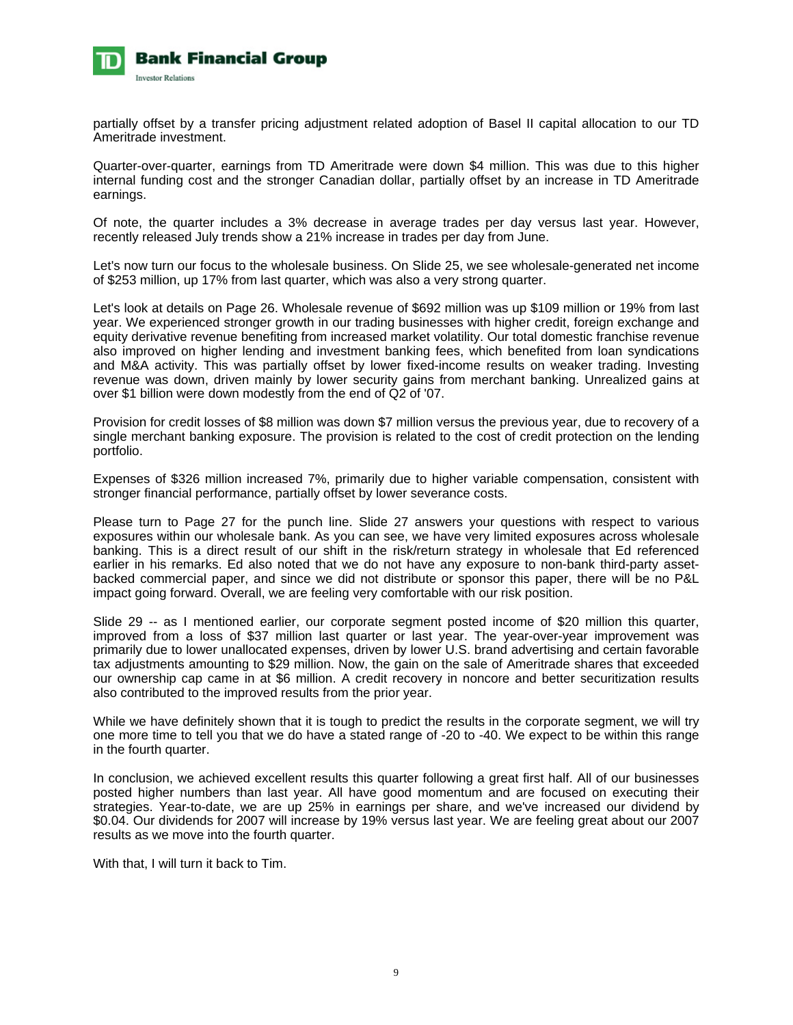

partially offset by a transfer pricing adjustment related adoption of Basel II capital allocation to our TD Ameritrade investment.

Quarter-over-quarter, earnings from TD Ameritrade were down \$4 million. This was due to this higher internal funding cost and the stronger Canadian dollar, partially offset by an increase in TD Ameritrade earnings.

Of note, the quarter includes a 3% decrease in average trades per day versus last year. However, recently released July trends show a 21% increase in trades per day from June.

Let's now turn our focus to the wholesale business. On Slide 25, we see wholesale-generated net income of \$253 million, up 17% from last quarter, which was also a very strong quarter.

Let's look at details on Page 26. Wholesale revenue of \$692 million was up \$109 million or 19% from last year. We experienced stronger growth in our trading businesses with higher credit, foreign exchange and equity derivative revenue benefiting from increased market volatility. Our total domestic franchise revenue also improved on higher lending and investment banking fees, which benefited from loan syndications and M&A activity. This was partially offset by lower fixed-income results on weaker trading. Investing revenue was down, driven mainly by lower security gains from merchant banking. Unrealized gains at over \$1 billion were down modestly from the end of Q2 of '07.

Provision for credit losses of \$8 million was down \$7 million versus the previous year, due to recovery of a single merchant banking exposure. The provision is related to the cost of credit protection on the lending portfolio.

Expenses of \$326 million increased 7%, primarily due to higher variable compensation, consistent with stronger financial performance, partially offset by lower severance costs.

Please turn to Page 27 for the punch line. Slide 27 answers your questions with respect to various exposures within our wholesale bank. As you can see, we have very limited exposures across wholesale banking. This is a direct result of our shift in the risk/return strategy in wholesale that Ed referenced earlier in his remarks. Ed also noted that we do not have any exposure to non-bank third-party assetbacked commercial paper, and since we did not distribute or sponsor this paper, there will be no P&L impact going forward. Overall, we are feeling very comfortable with our risk position.

Slide 29 -- as I mentioned earlier, our corporate segment posted income of \$20 million this quarter, improved from a loss of \$37 million last quarter or last year. The year-over-year improvement was primarily due to lower unallocated expenses, driven by lower U.S. brand advertising and certain favorable tax adjustments amounting to \$29 million. Now, the gain on the sale of Ameritrade shares that exceeded our ownership cap came in at \$6 million. A credit recovery in noncore and better securitization results also contributed to the improved results from the prior year.

While we have definitely shown that it is tough to predict the results in the corporate segment, we will try one more time to tell you that we do have a stated range of -20 to -40. We expect to be within this range in the fourth quarter.

In conclusion, we achieved excellent results this quarter following a great first half. All of our businesses posted higher numbers than last year. All have good momentum and are focused on executing their strategies. Year-to-date, we are up 25% in earnings per share, and we've increased our dividend by \$0.04. Our dividends for 2007 will increase by 19% versus last year. We are feeling great about our 2007 results as we move into the fourth quarter.

With that, I will turn it back to Tim.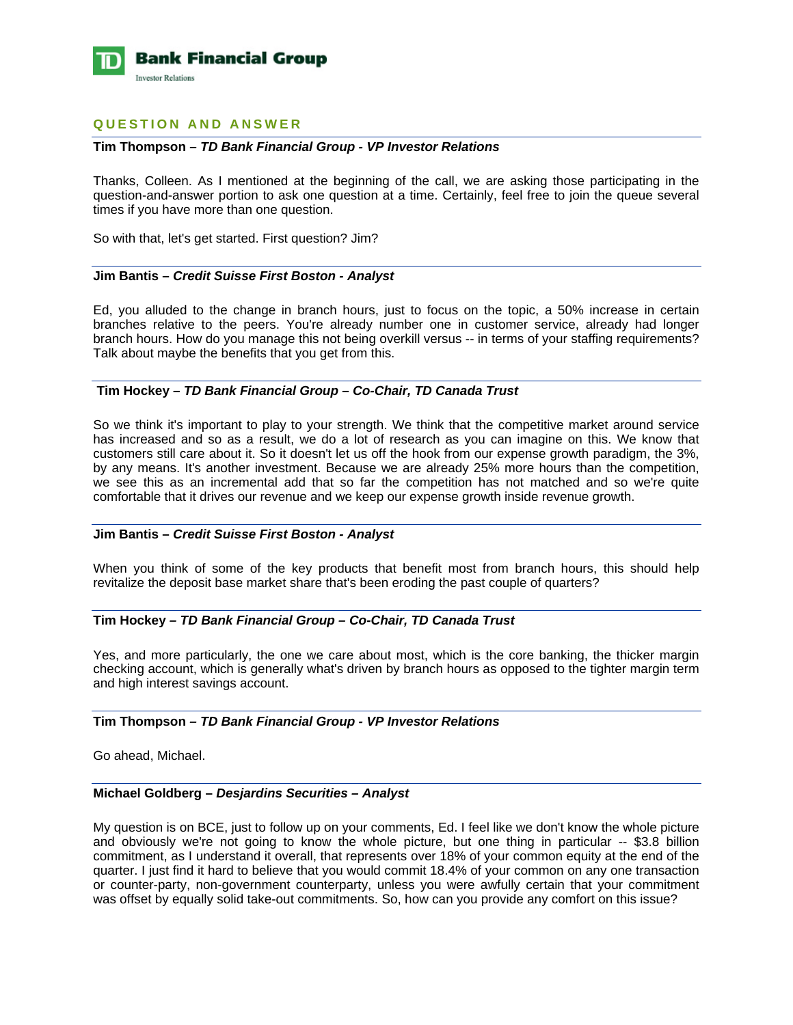

# **QUESTION AND ANSWER**

#### **Tim Thompson** *– TD Bank Financial Group - VP Investor Relations*

Thanks, Colleen. As I mentioned at the beginning of the call, we are asking those participating in the question-and-answer portion to ask one question at a time. Certainly, feel free to join the queue several times if you have more than one question.

So with that, let's get started. First question? Jim?

#### **Jim Bantis –** *Credit Suisse First Boston - Analyst*

Ed, you alluded to the change in branch hours, just to focus on the topic, a 50% increase in certain branches relative to the peers. You're already number one in customer service, already had longer branch hours. How do you manage this not being overkill versus -- in terms of your staffing requirements? Talk about maybe the benefits that you get from this.

## **Tim Hockey** *– TD Bank Financial Group – Co-Chair, TD Canada Trust*

So we think it's important to play to your strength. We think that the competitive market around service has increased and so as a result, we do a lot of research as you can imagine on this. We know that customers still care about it. So it doesn't let us off the hook from our expense growth paradigm, the 3%, by any means. It's another investment. Because we are already 25% more hours than the competition, we see this as an incremental add that so far the competition has not matched and so we're quite comfortable that it drives our revenue and we keep our expense growth inside revenue growth.

#### **Jim Bantis –** *Credit Suisse First Boston - Analyst*

When you think of some of the key products that benefit most from branch hours, this should help revitalize the deposit base market share that's been eroding the past couple of quarters?

#### **Tim Hockey** *– TD Bank Financial Group – Co-Chair, TD Canada Trust*

Yes, and more particularly, the one we care about most, which is the core banking, the thicker margin checking account, which is generally what's driven by branch hours as opposed to the tighter margin term and high interest savings account.

#### **Tim Thompson** *– TD Bank Financial Group - VP Investor Relations*

Go ahead, Michael.

#### **Michael Goldberg –** *Desjardins Securities – Analyst*

My question is on BCE, just to follow up on your comments, Ed. I feel like we don't know the whole picture and obviously we're not going to know the whole picture, but one thing in particular -- \$3.8 billion commitment, as I understand it overall, that represents over 18% of your common equity at the end of the quarter. I just find it hard to believe that you would commit 18.4% of your common on any one transaction or counter-party, non-government counterparty, unless you were awfully certain that your commitment was offset by equally solid take-out commitments. So, how can you provide any comfort on this issue?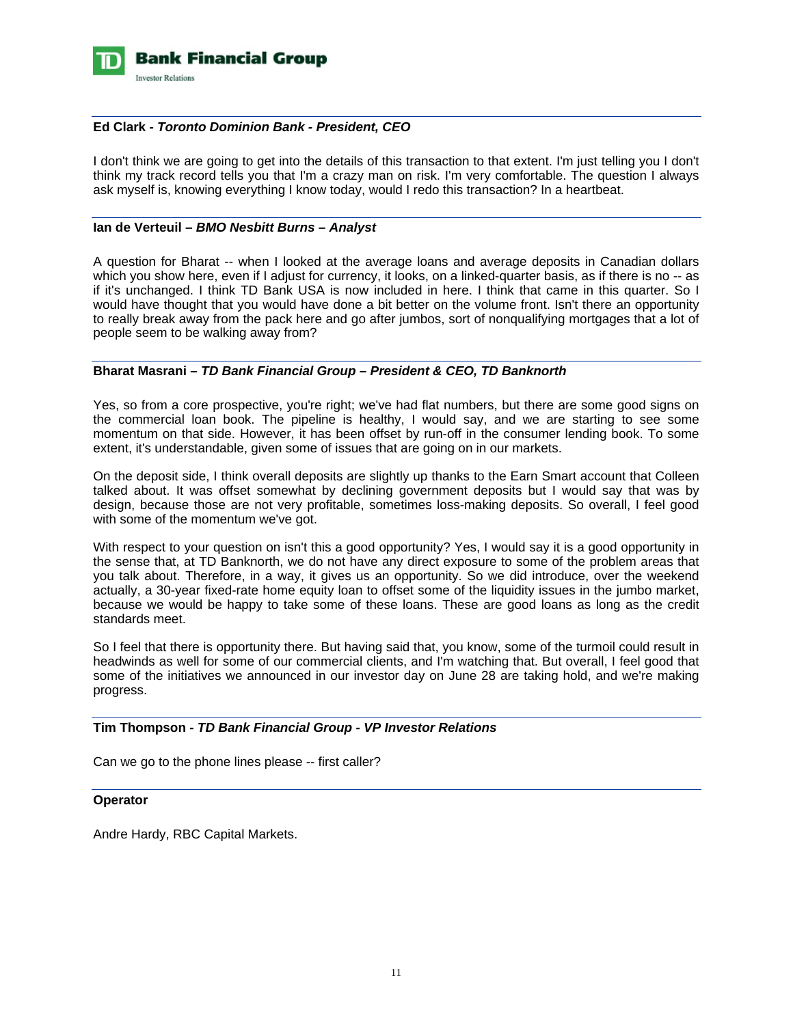

## **Ed Clark** *- Toronto Dominion Bank - President, CEO*

I don't think we are going to get into the details of this transaction to that extent. I'm just telling you I don't think my track record tells you that I'm a crazy man on risk. I'm very comfortable. The question I always ask myself is, knowing everything I know today, would I redo this transaction? In a heartbeat.

## **Ian de Verteuil –** *BMO Nesbitt Burns – Analyst*

A question for Bharat -- when I looked at the average loans and average deposits in Canadian dollars which you show here, even if I adjust for currency, it looks, on a linked-quarter basis, as if there is no -- as if it's unchanged. I think TD Bank USA is now included in here. I think that came in this quarter. So I would have thought that you would have done a bit better on the volume front. Isn't there an opportunity to really break away from the pack here and go after jumbos, sort of nonqualifying mortgages that a lot of people seem to be walking away from?

## **Bharat Masrani** *– TD Bank Financial Group – President & CEO, TD Banknorth*

Yes, so from a core prospective, you're right; we've had flat numbers, but there are some good signs on the commercial loan book. The pipeline is healthy, I would say, and we are starting to see some momentum on that side. However, it has been offset by run-off in the consumer lending book. To some extent, it's understandable, given some of issues that are going on in our markets.

On the deposit side, I think overall deposits are slightly up thanks to the Earn Smart account that Colleen talked about. It was offset somewhat by declining government deposits but I would say that was by design, because those are not very profitable, sometimes loss-making deposits. So overall, I feel good with some of the momentum we've got.

With respect to your question on isn't this a good opportunity? Yes, I would say it is a good opportunity in the sense that, at TD Banknorth, we do not have any direct exposure to some of the problem areas that you talk about. Therefore, in a way, it gives us an opportunity. So we did introduce, over the weekend actually, a 30-year fixed-rate home equity loan to offset some of the liquidity issues in the jumbo market, because we would be happy to take some of these loans. These are good loans as long as the credit standards meet.

So I feel that there is opportunity there. But having said that, you know, some of the turmoil could result in headwinds as well for some of our commercial clients, and I'm watching that. But overall, I feel good that some of the initiatives we announced in our investor day on June 28 are taking hold, and we're making progress.

#### **Tim Thompson** *- TD Bank Financial Group - VP Investor Relations*

Can we go to the phone lines please -- first caller?

#### **Operator**

Andre Hardy, RBC Capital Markets.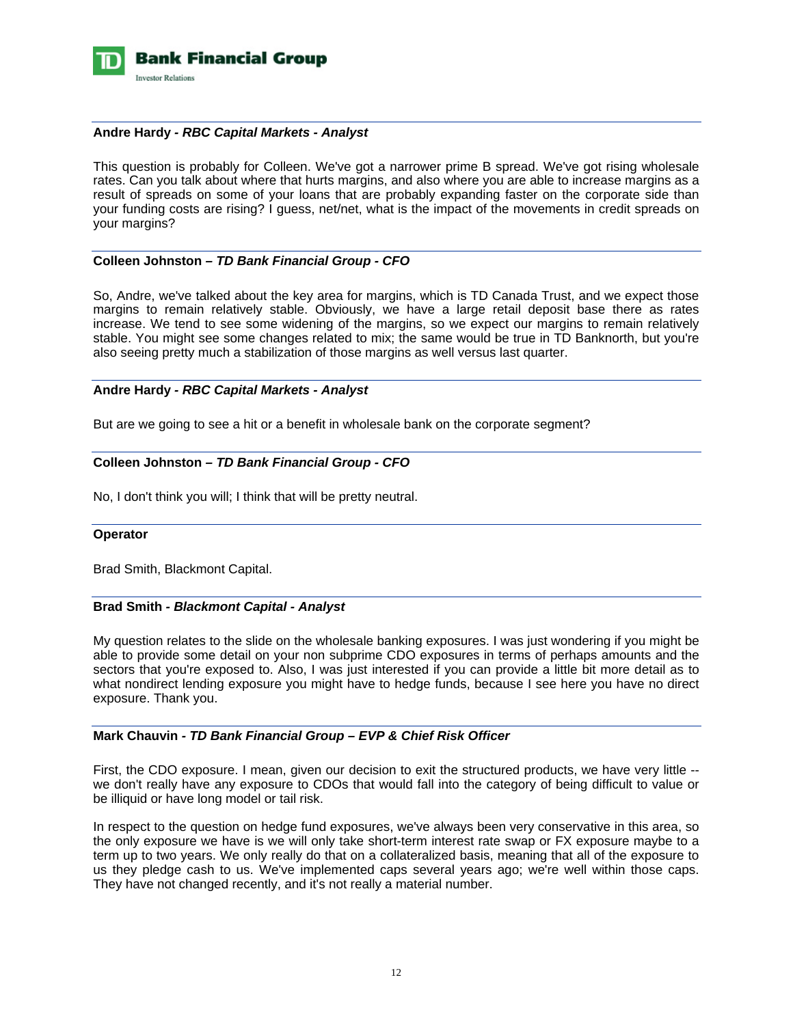

## **Andre Hardy** *- RBC Capital Markets - Analyst*

This question is probably for Colleen. We've got a narrower prime B spread. We've got rising wholesale rates. Can you talk about where that hurts margins, and also where you are able to increase margins as a result of spreads on some of your loans that are probably expanding faster on the corporate side than your funding costs are rising? I guess, net/net, what is the impact of the movements in credit spreads on your margins?

## **Colleen Johnston** *– TD Bank Financial Group - CFO*

So, Andre, we've talked about the key area for margins, which is TD Canada Trust, and we expect those margins to remain relatively stable. Obviously, we have a large retail deposit base there as rates increase. We tend to see some widening of the margins, so we expect our margins to remain relatively stable. You might see some changes related to mix; the same would be true in TD Banknorth, but you're also seeing pretty much a stabilization of those margins as well versus last quarter.

## **Andre Hardy** *- RBC Capital Markets - Analyst*

But are we going to see a hit or a benefit in wholesale bank on the corporate segment?

# **Colleen Johnston** *– TD Bank Financial Group - CFO*

No, I don't think you will; I think that will be pretty neutral.

## **Operator**

Brad Smith, Blackmont Capital.

#### **Brad Smith** *- Blackmont Capital - Analyst*

My question relates to the slide on the wholesale banking exposures. I was just wondering if you might be able to provide some detail on your non subprime CDO exposures in terms of perhaps amounts and the sectors that you're exposed to. Also, I was just interested if you can provide a little bit more detail as to what nondirect lending exposure you might have to hedge funds, because I see here you have no direct exposure. Thank you.

## **Mark Chauvin** *- TD Bank Financial Group – EVP & Chief Risk Officer*

First, the CDO exposure. I mean, given our decision to exit the structured products, we have very little - we don't really have any exposure to CDOs that would fall into the category of being difficult to value or be illiquid or have long model or tail risk.

In respect to the question on hedge fund exposures, we've always been very conservative in this area, so the only exposure we have is we will only take short-term interest rate swap or FX exposure maybe to a term up to two years. We only really do that on a collateralized basis, meaning that all of the exposure to us they pledge cash to us. We've implemented caps several years ago; we're well within those caps. They have not changed recently, and it's not really a material number.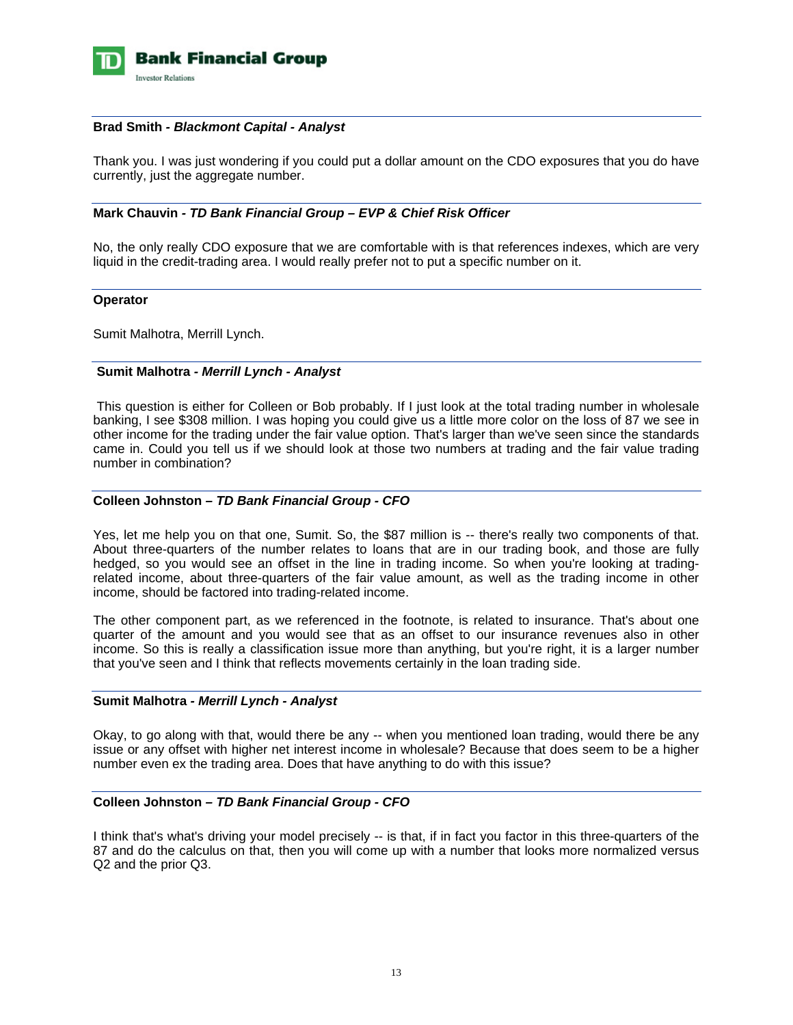

#### **Brad Smith** *- Blackmont Capital - Analyst*

Thank you. I was just wondering if you could put a dollar amount on the CDO exposures that you do have currently, just the aggregate number.

## **Mark Chauvin** *- TD Bank Financial Group – EVP & Chief Risk Officer*

No, the only really CDO exposure that we are comfortable with is that references indexes, which are very liquid in the credit-trading area. I would really prefer not to put a specific number on it.

## **Operator**

Sumit Malhotra, Merrill Lynch.

## **Sumit Malhotra** *- Merrill Lynch - Analyst*

 This question is either for Colleen or Bob probably. If I just look at the total trading number in wholesale banking, I see \$308 million. I was hoping you could give us a little more color on the loss of 87 we see in other income for the trading under the fair value option. That's larger than we've seen since the standards came in. Could you tell us if we should look at those two numbers at trading and the fair value trading number in combination?

## **Colleen Johnston** *– TD Bank Financial Group - CFO*

Yes, let me help you on that one, Sumit. So, the \$87 million is -- there's really two components of that. About three-quarters of the number relates to loans that are in our trading book, and those are fully hedged, so you would see an offset in the line in trading income. So when you're looking at tradingrelated income, about three-quarters of the fair value amount, as well as the trading income in other income, should be factored into trading-related income.

The other component part, as we referenced in the footnote, is related to insurance. That's about one quarter of the amount and you would see that as an offset to our insurance revenues also in other income. So this is really a classification issue more than anything, but you're right, it is a larger number that you've seen and I think that reflects movements certainly in the loan trading side.

#### **Sumit Malhotra** *- Merrill Lynch - Analyst*

Okay, to go along with that, would there be any -- when you mentioned loan trading, would there be any issue or any offset with higher net interest income in wholesale? Because that does seem to be a higher number even ex the trading area. Does that have anything to do with this issue?

## **Colleen Johnston** *– TD Bank Financial Group - CFO*

I think that's what's driving your model precisely -- is that, if in fact you factor in this three-quarters of the 87 and do the calculus on that, then you will come up with a number that looks more normalized versus Q2 and the prior Q3.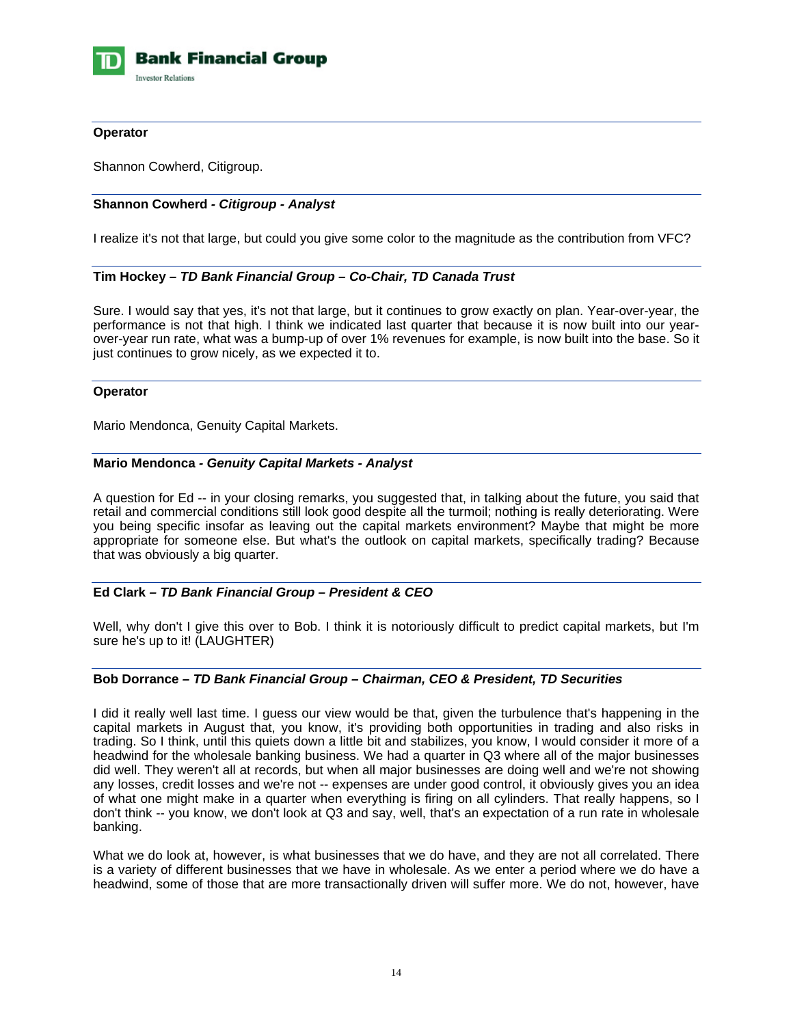

## **Operator**

Shannon Cowherd, Citigroup.

## **Shannon Cowherd** *- Citigroup - Analyst*

I realize it's not that large, but could you give some color to the magnitude as the contribution from VFC?

## **Tim Hockey** *– TD Bank Financial Group – Co-Chair, TD Canada Trust*

Sure. I would say that yes, it's not that large, but it continues to grow exactly on plan. Year-over-year, the performance is not that high. I think we indicated last quarter that because it is now built into our yearover-year run rate, what was a bump-up of over 1% revenues for example, is now built into the base. So it just continues to grow nicely, as we expected it to.

#### **Operator**

Mario Mendonca, Genuity Capital Markets.

## **Mario Mendonca** *- Genuity Capital Markets - Analyst*

A question for Ed -- in your closing remarks, you suggested that, in talking about the future, you said that retail and commercial conditions still look good despite all the turmoil; nothing is really deteriorating. Were you being specific insofar as leaving out the capital markets environment? Maybe that might be more appropriate for someone else. But what's the outlook on capital markets, specifically trading? Because that was obviously a big quarter.

## **Ed Clark** *– TD Bank Financial Group – President & CEO*

Well, why don't I give this over to Bob. I think it is notoriously difficult to predict capital markets, but I'm sure he's up to it! (LAUGHTER)

#### **Bob Dorrance** *– TD Bank Financial Group – Chairman, CEO & President, TD Securities*

I did it really well last time. I guess our view would be that, given the turbulence that's happening in the capital markets in August that, you know, it's providing both opportunities in trading and also risks in trading. So I think, until this quiets down a little bit and stabilizes, you know, I would consider it more of a headwind for the wholesale banking business. We had a quarter in Q3 where all of the major businesses did well. They weren't all at records, but when all major businesses are doing well and we're not showing any losses, credit losses and we're not -- expenses are under good control, it obviously gives you an idea of what one might make in a quarter when everything is firing on all cylinders. That really happens, so I don't think -- you know, we don't look at Q3 and say, well, that's an expectation of a run rate in wholesale banking.

What we do look at, however, is what businesses that we do have, and they are not all correlated. There is a variety of different businesses that we have in wholesale. As we enter a period where we do have a headwind, some of those that are more transactionally driven will suffer more. We do not, however, have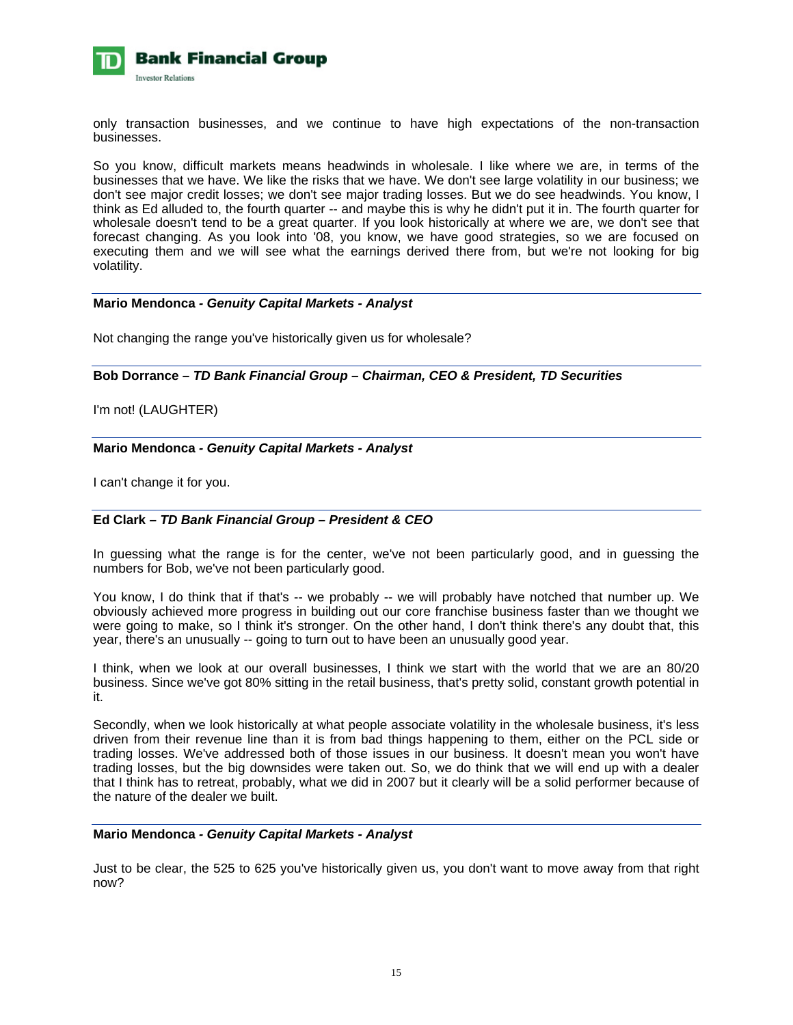

only transaction businesses, and we continue to have high expectations of the non-transaction businesses.

So you know, difficult markets means headwinds in wholesale. I like where we are, in terms of the businesses that we have. We like the risks that we have. We don't see large volatility in our business; we don't see major credit losses; we don't see major trading losses. But we do see headwinds. You know, I think as Ed alluded to, the fourth quarter -- and maybe this is why he didn't put it in. The fourth quarter for wholesale doesn't tend to be a great quarter. If you look historically at where we are, we don't see that forecast changing. As you look into '08, you know, we have good strategies, so we are focused on executing them and we will see what the earnings derived there from, but we're not looking for big volatility.

#### **Mario Mendonca** *- Genuity Capital Markets - Analyst*

Not changing the range you've historically given us for wholesale?

**Bob Dorrance** *– TD Bank Financial Group – Chairman, CEO & President, TD Securities* 

# I'm not! (LAUGHTER)

## **Mario Mendonca** *- Genuity Capital Markets - Analyst*

I can't change it for you.

## **Ed Clark** *– TD Bank Financial Group – President & CEO*

In guessing what the range is for the center, we've not been particularly good, and in guessing the numbers for Bob, we've not been particularly good.

You know, I do think that if that's -- we probably -- we will probably have notched that number up. We obviously achieved more progress in building out our core franchise business faster than we thought we were going to make, so I think it's stronger. On the other hand, I don't think there's any doubt that, this year, there's an unusually -- going to turn out to have been an unusually good year.

I think, when we look at our overall businesses, I think we start with the world that we are an 80/20 business. Since we've got 80% sitting in the retail business, that's pretty solid, constant growth potential in it.

Secondly, when we look historically at what people associate volatility in the wholesale business, it's less driven from their revenue line than it is from bad things happening to them, either on the PCL side or trading losses. We've addressed both of those issues in our business. It doesn't mean you won't have trading losses, but the big downsides were taken out. So, we do think that we will end up with a dealer that I think has to retreat, probably, what we did in 2007 but it clearly will be a solid performer because of the nature of the dealer we built.

#### **Mario Mendonca** *- Genuity Capital Markets - Analyst*

Just to be clear, the 525 to 625 you've historically given us, you don't want to move away from that right now?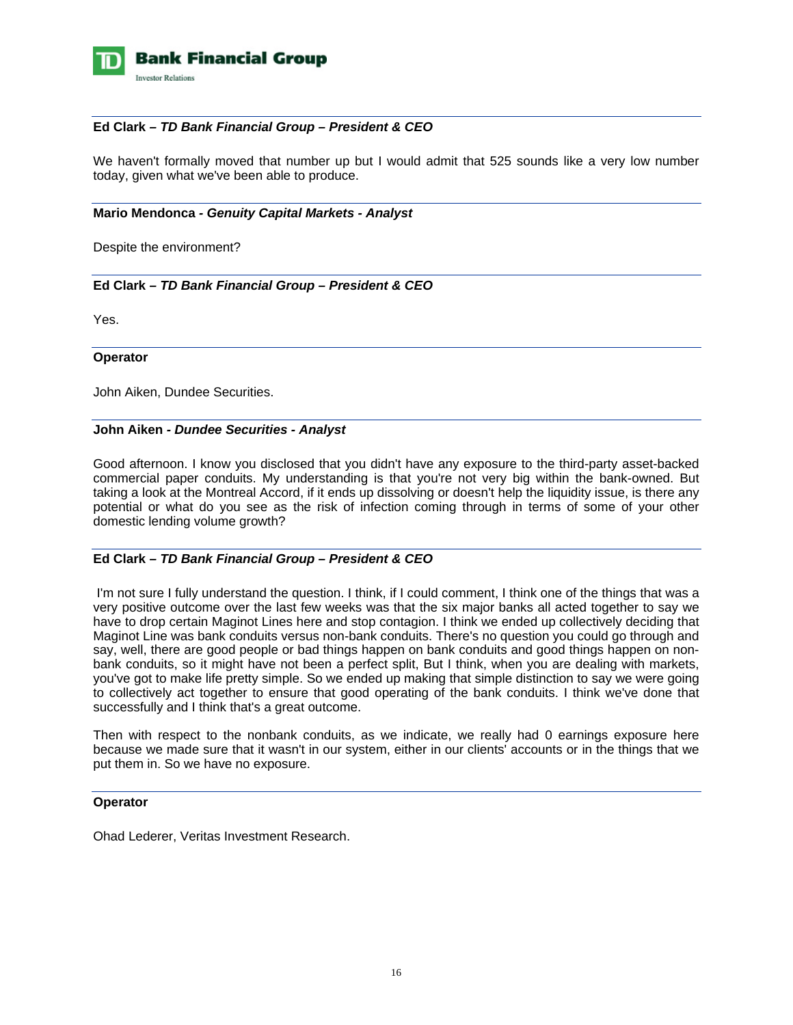

## **Ed Clark** *– TD Bank Financial Group – President & CEO*

We haven't formally moved that number up but I would admit that 525 sounds like a very low number today, given what we've been able to produce.

#### **Mario Mendonca** *- Genuity Capital Markets - Analyst*

Despite the environment?

## **Ed Clark** *– TD Bank Financial Group – President & CEO*

Yes.

#### **Operator**

John Aiken, Dundee Securities.

#### **John Aiken** *- Dundee Securities - Analyst*

Good afternoon. I know you disclosed that you didn't have any exposure to the third-party asset-backed commercial paper conduits. My understanding is that you're not very big within the bank-owned. But taking a look at the Montreal Accord, if it ends up dissolving or doesn't help the liquidity issue, is there any potential or what do you see as the risk of infection coming through in terms of some of your other domestic lending volume growth?

## **Ed Clark** *– TD Bank Financial Group – President & CEO*

 I'm not sure I fully understand the question. I think, if I could comment, I think one of the things that was a very positive outcome over the last few weeks was that the six major banks all acted together to say we have to drop certain Maginot Lines here and stop contagion. I think we ended up collectively deciding that Maginot Line was bank conduits versus non-bank conduits. There's no question you could go through and say, well, there are good people or bad things happen on bank conduits and good things happen on nonbank conduits, so it might have not been a perfect split, But I think, when you are dealing with markets, you've got to make life pretty simple. So we ended up making that simple distinction to say we were going to collectively act together to ensure that good operating of the bank conduits. I think we've done that successfully and I think that's a great outcome.

Then with respect to the nonbank conduits, as we indicate, we really had 0 earnings exposure here because we made sure that it wasn't in our system, either in our clients' accounts or in the things that we put them in. So we have no exposure.

#### **Operator**

Ohad Lederer, Veritas Investment Research.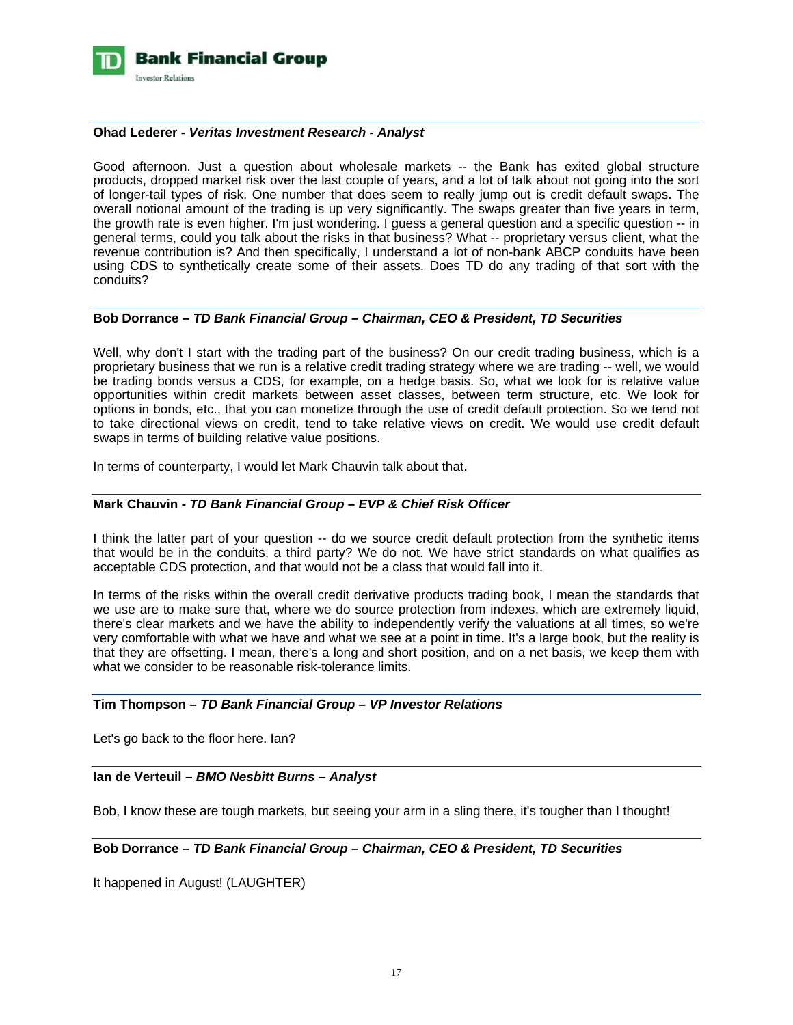

## **Ohad Lederer** *- Veritas Investment Research - Analyst*

Good afternoon. Just a question about wholesale markets -- the Bank has exited global structure products, dropped market risk over the last couple of years, and a lot of talk about not going into the sort of longer-tail types of risk. One number that does seem to really jump out is credit default swaps. The overall notional amount of the trading is up very significantly. The swaps greater than five years in term, the growth rate is even higher. I'm just wondering. I guess a general question and a specific question -- in general terms, could you talk about the risks in that business? What -- proprietary versus client, what the revenue contribution is? And then specifically, I understand a lot of non-bank ABCP conduits have been using CDS to synthetically create some of their assets. Does TD do any trading of that sort with the conduits?

## **Bob Dorrance –** *TD Bank Financial Group – Chairman, CEO & President, TD Securities*

Well, why don't I start with the trading part of the business? On our credit trading business, which is a proprietary business that we run is a relative credit trading strategy where we are trading -- well, we would be trading bonds versus a CDS, for example, on a hedge basis. So, what we look for is relative value opportunities within credit markets between asset classes, between term structure, etc. We look for options in bonds, etc., that you can monetize through the use of credit default protection. So we tend not to take directional views on credit, tend to take relative views on credit. We would use credit default swaps in terms of building relative value positions.

In terms of counterparty, I would let Mark Chauvin talk about that.

## **Mark Chauvin** *- TD Bank Financial Group – EVP & Chief Risk Officer*

I think the latter part of your question -- do we source credit default protection from the synthetic items that would be in the conduits, a third party? We do not. We have strict standards on what qualifies as acceptable CDS protection, and that would not be a class that would fall into it.

In terms of the risks within the overall credit derivative products trading book, I mean the standards that we use are to make sure that, where we do source protection from indexes, which are extremely liquid, there's clear markets and we have the ability to independently verify the valuations at all times, so we're very comfortable with what we have and what we see at a point in time. It's a large book, but the reality is that they are offsetting. I mean, there's a long and short position, and on a net basis, we keep them with what we consider to be reasonable risk-tolerance limits.

## **Tim Thompson** *– TD Bank Financial Group – VP Investor Relations*

Let's go back to the floor here. Ian?

## **Ian de Verteuil** *– BMO Nesbitt Burns – Analyst*

Bob, I know these are tough markets, but seeing your arm in a sling there, it's tougher than I thought!

#### **Bob Dorrance** *– TD Bank Financial Group – Chairman, CEO & President, TD Securities*

It happened in August! (LAUGHTER)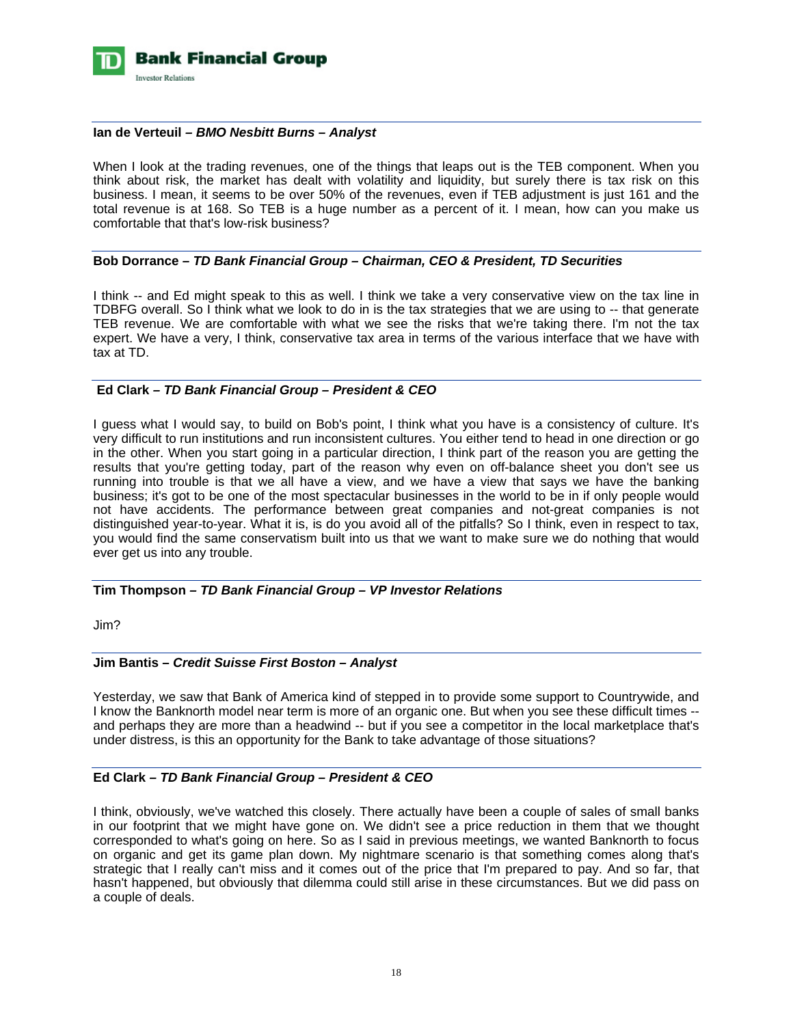

## **Ian de Verteuil** *– BMO Nesbitt Burns – Analyst*

When I look at the trading revenues, one of the things that leaps out is the TEB component. When you think about risk, the market has dealt with volatility and liquidity, but surely there is tax risk on this business. I mean, it seems to be over 50% of the revenues, even if TEB adjustment is just 161 and the total revenue is at 168. So TEB is a huge number as a percent of it. I mean, how can you make us comfortable that that's low-risk business?

#### **Bob Dorrance** *– TD Bank Financial Group – Chairman, CEO & President, TD Securities*

I think -- and Ed might speak to this as well. I think we take a very conservative view on the tax line in TDBFG overall. So I think what we look to do in is the tax strategies that we are using to -- that generate TEB revenue. We are comfortable with what we see the risks that we're taking there. I'm not the tax expert. We have a very, I think, conservative tax area in terms of the various interface that we have with tax at TD.

## **Ed Clark** *– TD Bank Financial Group – President & CEO*

I guess what I would say, to build on Bob's point, I think what you have is a consistency of culture. It's very difficult to run institutions and run inconsistent cultures. You either tend to head in one direction or go in the other. When you start going in a particular direction, I think part of the reason you are getting the results that you're getting today, part of the reason why even on off-balance sheet you don't see us running into trouble is that we all have a view, and we have a view that says we have the banking business; it's got to be one of the most spectacular businesses in the world to be in if only people would not have accidents. The performance between great companies and not-great companies is not distinguished year-to-year. What it is, is do you avoid all of the pitfalls? So I think, even in respect to tax, you would find the same conservatism built into us that we want to make sure we do nothing that would ever get us into any trouble.

## **Tim Thompson** *– TD Bank Financial Group – VP Investor Relations*

Jim?

#### **Jim Bantis –** *Credit Suisse First Boston – Analyst*

Yesterday, we saw that Bank of America kind of stepped in to provide some support to Countrywide, and I know the Banknorth model near term is more of an organic one. But when you see these difficult times - and perhaps they are more than a headwind -- but if you see a competitor in the local marketplace that's under distress, is this an opportunity for the Bank to take advantage of those situations?

#### **Ed Clark** *– TD Bank Financial Group – President & CEO*

I think, obviously, we've watched this closely. There actually have been a couple of sales of small banks in our footprint that we might have gone on. We didn't see a price reduction in them that we thought corresponded to what's going on here. So as I said in previous meetings, we wanted Banknorth to focus on organic and get its game plan down. My nightmare scenario is that something comes along that's strategic that I really can't miss and it comes out of the price that I'm prepared to pay. And so far, that hasn't happened, but obviously that dilemma could still arise in these circumstances. But we did pass on a couple of deals.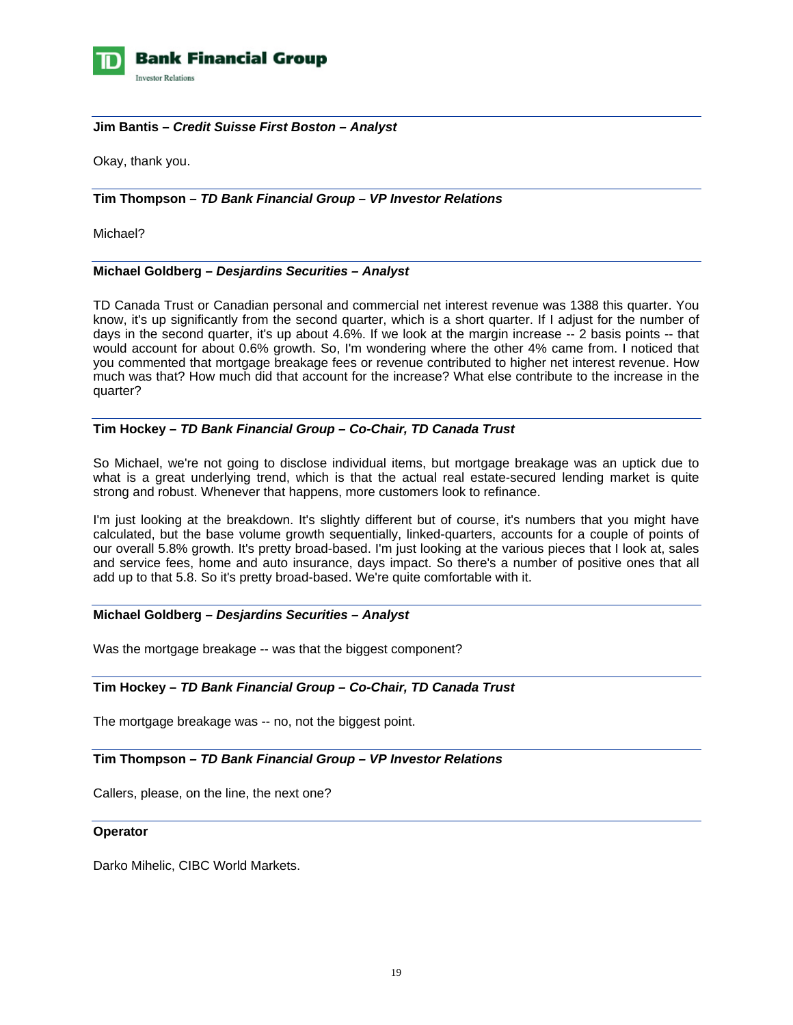

## **Jim Bantis –** *Credit Suisse First Boston – Analyst*

Okay, thank you.

**Tim Thompson** *– TD Bank Financial Group – VP Investor Relations* 

Michael?

## **Michael Goldberg –** *Desjardins Securities – Analyst*

TD Canada Trust or Canadian personal and commercial net interest revenue was 1388 this quarter. You know, it's up significantly from the second quarter, which is a short quarter. If I adjust for the number of days in the second quarter, it's up about 4.6%. If we look at the margin increase -- 2 basis points -- that would account for about 0.6% growth. So, I'm wondering where the other 4% came from. I noticed that you commented that mortgage breakage fees or revenue contributed to higher net interest revenue. How much was that? How much did that account for the increase? What else contribute to the increase in the quarter?

# **Tim Hockey –** *TD Bank Financial Group – Co-Chair, TD Canada Trust*

So Michael, we're not going to disclose individual items, but mortgage breakage was an uptick due to what is a great underlying trend, which is that the actual real estate-secured lending market is quite strong and robust. Whenever that happens, more customers look to refinance.

I'm just looking at the breakdown. It's slightly different but of course, it's numbers that you might have calculated, but the base volume growth sequentially, linked-quarters, accounts for a couple of points of our overall 5.8% growth. It's pretty broad-based. I'm just looking at the various pieces that I look at, sales and service fees, home and auto insurance, days impact. So there's a number of positive ones that all add up to that 5.8. So it's pretty broad-based. We're quite comfortable with it.

## **Michael Goldberg –** *Desjardins Securities – Analyst*

Was the mortgage breakage -- was that the biggest component?

## **Tim Hockey –** *TD Bank Financial Group – Co-Chair, TD Canada Trust*

The mortgage breakage was -- no, not the biggest point.

## **Tim Thompson** *– TD Bank Financial Group – VP Investor Relations*

Callers, please, on the line, the next one?

#### **Operator**

Darko Mihelic, CIBC World Markets.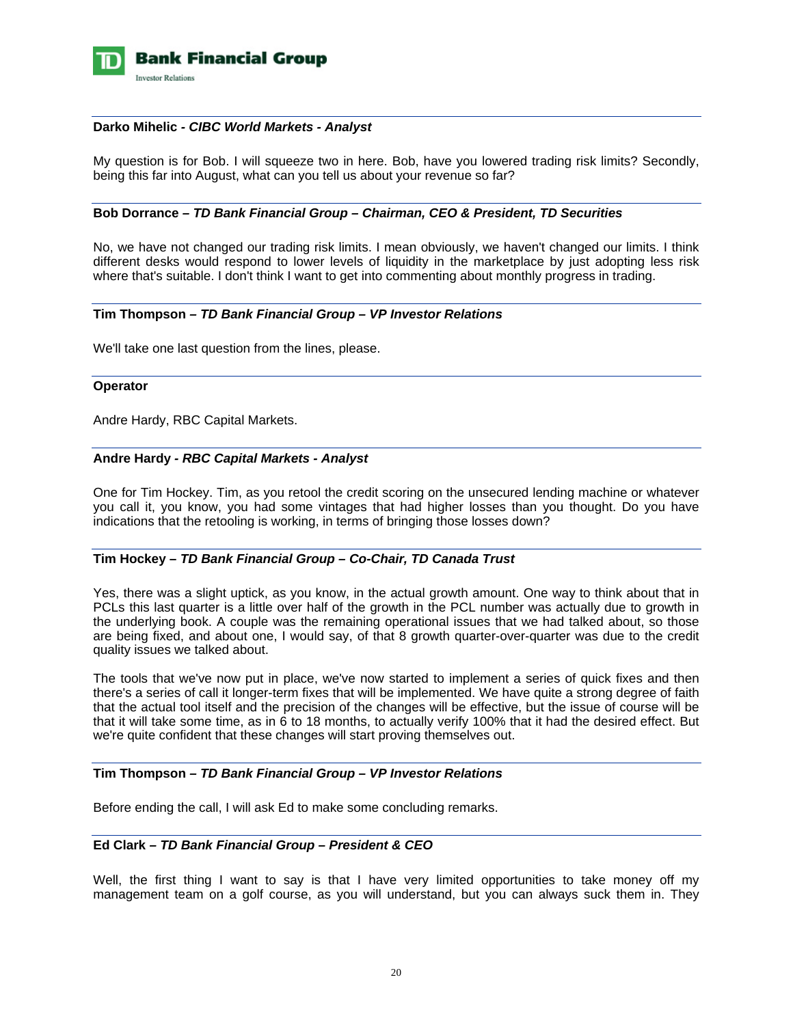

#### **Darko Mihelic** *- CIBC World Markets - Analyst*

My question is for Bob. I will squeeze two in here. Bob, have you lowered trading risk limits? Secondly, being this far into August, what can you tell us about your revenue so far?

#### **Bob Dorrance** *– TD Bank Financial Group – Chairman, CEO & President, TD Securities*

No, we have not changed our trading risk limits. I mean obviously, we haven't changed our limits. I think different desks would respond to lower levels of liquidity in the marketplace by just adopting less risk where that's suitable. I don't think I want to get into commenting about monthly progress in trading.

## **Tim Thompson** *– TD Bank Financial Group – VP Investor Relations*

We'll take one last question from the lines, please.

#### **Operator**

Andre Hardy, RBC Capital Markets.

## **Andre Hardy** *- RBC Capital Markets - Analyst*

One for Tim Hockey. Tim, as you retool the credit scoring on the unsecured lending machine or whatever you call it, you know, you had some vintages that had higher losses than you thought. Do you have indications that the retooling is working, in terms of bringing those losses down?

## **Tim Hockey –** *TD Bank Financial Group – Co-Chair, TD Canada Trust*

Yes, there was a slight uptick, as you know, in the actual growth amount. One way to think about that in PCLs this last quarter is a little over half of the growth in the PCL number was actually due to growth in the underlying book. A couple was the remaining operational issues that we had talked about, so those are being fixed, and about one, I would say, of that 8 growth quarter-over-quarter was due to the credit quality issues we talked about.

The tools that we've now put in place, we've now started to implement a series of quick fixes and then there's a series of call it longer-term fixes that will be implemented. We have quite a strong degree of faith that the actual tool itself and the precision of the changes will be effective, but the issue of course will be that it will take some time, as in 6 to 18 months, to actually verify 100% that it had the desired effect. But we're quite confident that these changes will start proving themselves out.

## **Tim Thompson** *– TD Bank Financial Group – VP Investor Relations*

Before ending the call, I will ask Ed to make some concluding remarks.

#### **Ed Clark** *– TD Bank Financial Group – President & CEO*

Well, the first thing I want to say is that I have very limited opportunities to take money off my management team on a golf course, as you will understand, but you can always suck them in. They